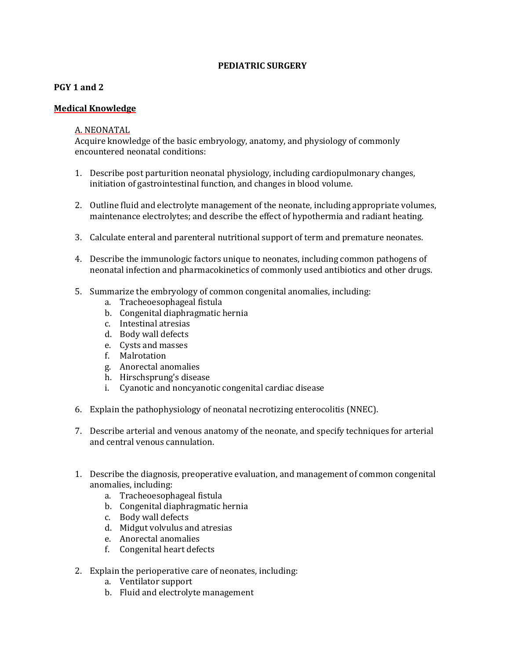#### **PEDIATRIC SURGERY**

## **PGY 1 and 2**

## **Medical Knowledge**

#### A. NEONATAL

Acquire knowledge of the basic embryology, anatomy, and physiology of commonly encountered neonatal conditions:

- 1. Describe post parturition neonatal physiology, including cardiopulmonary changes, initiation of gastrointestinal function, and changes in blood volume.
- 2. Outline fluid and electrolyte management of the neonate, including appropriate volumes, maintenance electrolytes; and describe the effect of hypothermia and radiant heating.
- 3. Calculate enteral and parenteral nutritional support of term and premature neonates.
- 4. Describe the immunologic factors unique to neonates, including common pathogens of neonatal infection and pharmacokinetics of commonly used antibiotics and other drugs.
- 5. Summarize the embryology of common congenital anomalies, including:
	- a. Tracheoesophageal fistula
	- b. Congenital diaphragmatic hernia
	- c. Intestinal atresias
	- d. Body wall defects
	- e. Cysts and masses
	- f. Malrotation
	- g. Anorectal anomalies
	- h. Hirschsprung's disease
	- i. Cyanotic and noncyanotic congenital cardiac disease
- 6. Explain the pathophysiology of neonatal necrotizing enterocolitis (NNEC).
- 7. Describe arterial and venous anatomy of the neonate, and specify techniques for arterial and central venous cannulation.
- 1. Describe the diagnosis, preoperative evaluation, and management of common congenital anomalies, including:
	- a. Tracheoesophageal fistula
	- b. Congenital diaphragmatic hernia
	- c. Body wall defects
	- d. Midgut volvulus and atresias
	- e. Anorectal anomalies
	- f. Congenital heart defects
- 2. Explain the perioperative care of neonates, including:
	- a. Ventilator support
	- b. Fluid and electrolyte management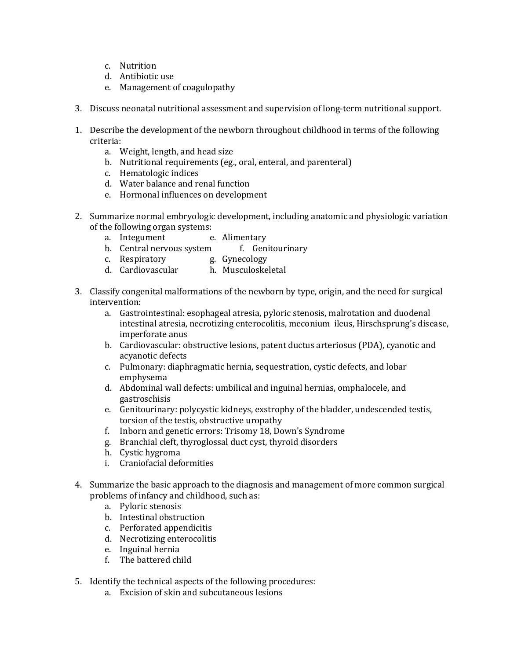- c. Nutrition
- d. Antibiotic use
- e. Management of coagulopathy
- 3. Discuss neonatal nutritional assessment and supervision of long-term nutritional support.
- 1. Describe the development of the newborn throughout childhood in terms of the following criteria:
	- a. Weight, length, and head size
	- b. Nutritional requirements (eg., oral, enteral, and parenteral)
	- c. Hematologic indices
	- d. Water balance and renal function
	- e. Hormonal influences on development
- 2. Summarize normal embryologic development, including anatomic and physiologic variation of the following organ systems:
	- a. Integument e. Alimentary
	- b. Central nervous system f. Genitourinary
	- c. Respiratory g. Gynecology
	- d. Cardiovascular h. Musculoskeletal
- 3. Classify congenital malformations of the newborn by type, origin, and the need for surgical intervention:
	- a. Gastrointestinal: esophageal atresia, pyloric stenosis, malrotation and duodenal intestinal atresia, necrotizing enterocolitis, meconium ileus, Hirschsprung's disease, imperforate anus
	- b. Cardiovascular: obstructive lesions, patent ductus arteriosus (PDA), cyanotic and acyanotic defects
	- c. Pulmonary: diaphragmatic hernia, sequestration, cystic defects, and lobar emphysema
	- d. Abdominal wall defects: umbilical and inguinal hernias, omphalocele, and gastroschisis
	- e. Genitourinary: polycystic kidneys, exstrophy of the bladder, undescended testis, torsion of the testis, obstructive uropathy
	- f. Inborn and genetic errors: Trisomy 18, Down's Syndrome
	- g. Branchial cleft, thyroglossal duct cyst, thyroid disorders
	- h. Cystic hygroma
	- i. Craniofacial deformities
- 4. Summarize the basic approach to the diagnosis and management of more common surgical problems of infancy and childhood, such as:
	- a. Pyloric stenosis
	- b. Intestinal obstruction
	- c. Perforated appendicitis
	- d. Necrotizing enterocolitis
	- e. Inguinal hernia
	- f. The battered child
- 5. Identify the technical aspects of the following procedures:
	- a. Excision of skin and subcutaneous lesions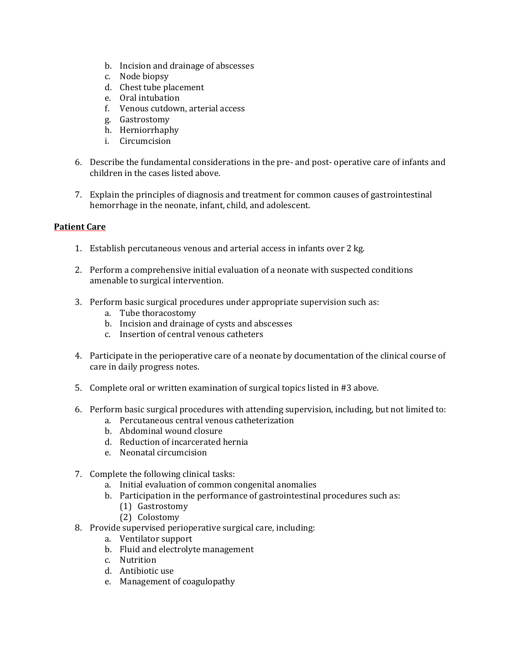- b. Incision and drainage of abscesses
- c. Node biopsy
- d. Chest tube placement
- e. Oral intubation
- f. Venous cutdown, arterial access
- g. Gastrostomy
- h. Herniorrhaphy
- i. Circumcision
- 6. Describe the fundamental considerations in the pre- and post- operative care of infants and children in the cases listed above.
- 7. Explain the principles of diagnosis and treatment for common causes of gastrointestinal hemorrhage in the neonate, infant, child, and adolescent.

# **Patient Care**

- 1. Establish percutaneous venous and arterial access in infants over 2 kg.
- 2. Perform a comprehensive initial evaluation of a neonate with suspected conditions amenable to surgical intervention.
- 3. Perform basic surgical procedures under appropriate supervision such as:
	- a. Tube thoracostomy
	- b. Incision and drainage of cysts and abscesses
	- c. Insertion of central venous catheters
- 4. Participate in the perioperative care of a neonate by documentation of the clinical course of care in daily progress notes.
- 5. Complete oral or written examination of surgical topics listed in #3 above.
- 6. Perform basic surgical procedures with attending supervision, including, but not limited to:
	- a. Percutaneous central venous catheterization
	- b. Abdominal wound closure
	- d. Reduction of incarcerated hernia
	- e. Neonatal circumcision
- 7. Complete the following clinical tasks:
	- a. Initial evaluation of common congenital anomalies
	- b. Participation in the performance of gastrointestinal procedures such as:
		- (1) Gastrostomy
		- (2) Colostomy
- 8. Provide supervised perioperative surgical care, including:
	- a. Ventilator support
	- b. Fluid and electrolyte management
	- c. Nutrition
	- d. Antibiotic use
	- e. Management of coagulopathy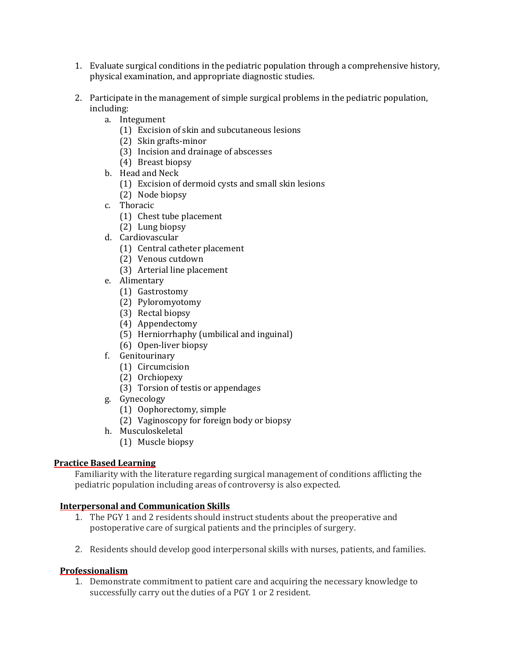- 1. Evaluate surgical conditions in the pediatric population through a comprehensive history, physical examination, and appropriate diagnostic studies.
- 2. Participate in the management of simple surgical problems in the pediatric population, including:
	- a. Integument
		- (1) Excision of skin and subcutaneous lesions
		- (2) Skin grafts-minor
		- (3) Incision and drainage of abscesses
		- (4) Breast biopsy
	- b. Head and Neck
		- (1) Excision of dermoid cysts and small skin lesions
		- (2) Node biopsy
	- c. Thoracic
		- (1) Chest tube placement
		- (2) Lung biopsy
	- d. Cardiovascular
		- (1) Central catheter placement
		- (2) Venous cutdown
		- (3) Arterial line placement
	- e. Alimentary
		- (1) Gastrostomy
		- (2) Pyloromyotomy
		- (3) Rectal biopsy
		- (4) Appendectomy
		- (5) Herniorrhaphy (umbilical and inguinal)
		- (6) Open-liver biopsy
	- f. Genitourinary
		- (1) Circumcision
		- (2) Orchiopexy
		- (3) Torsion of testis or appendages
	- g. Gynecology
		- (1) Oophorectomy, simple
		- (2) Vaginoscopy for foreign body or biopsy
	- h. Musculoskeletal
		- (1) Muscle biopsy

## **Practice Based Learning**

Familiarity with the literature regarding surgical management of conditions afflicting the pediatric population including areas of controversy is also expected.

## **Interpersonal and Communication Skills**

- 1. The PGY 1 and 2 residents should instruct students about the preoperative and postoperative care of surgical patients and the principles of surgery.
- 2. Residents should develop good interpersonal skills with nurses, patients, and families.

## **Professionalism**

1. Demonstrate commitment to patient care and acquiring the necessary knowledge to successfully carry out the duties of a PGY 1 or 2 resident.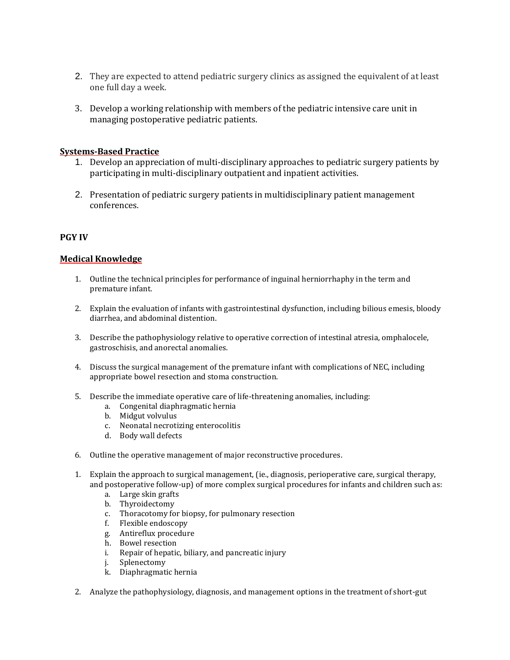- 2. They are expected to attend pediatric surgery clinics as assigned the equivalent of at least one full day a week.
- 3. Develop a working relationship with members of the pediatric intensive care unit in managing postoperative pediatric patients.

#### **Systems-Based Practice**

- 1. Develop an appreciation of multi-disciplinary approaches to pediatric surgery patients by participating in multi-disciplinary outpatient and inpatient activities.
- 2. Presentation of pediatric surgery patients in multidisciplinary patient management conferences.

#### **PGY IV**

#### **Medical Knowledge**

- 1. Outline the technical principles for performance of inguinal herniorrhaphy in the term and premature infant.
- 2. Explain the evaluation of infants with gastrointestinal dysfunction, including bilious emesis, bloody diarrhea, and abdominal distention.
- 3. Describe the pathophysiology relative to operative correction of intestinal atresia, omphalocele, gastroschisis, and anorectal anomalies.
- 4. Discuss the surgical management of the premature infant with complications of NEC, including appropriate bowel resection and stoma construction.
- 5. Describe the immediate operative care of life-threatening anomalies, including:
	- a. Congenital diaphragmatic hernia
	- b. Midgut volvulus
	- c. Neonatal necrotizing enterocolitis
	- d. Body wall defects
- 6. Outline the operative management of major reconstructive procedures.
- 1. Explain the approach to surgical management, (ie., diagnosis, perioperative care, surgical therapy, and postoperative follow-up) of more complex surgical procedures for infants and children such as:
	- a. Large skin grafts
	- b. Thyroidectomy
	- c. Thoracotomy for biopsy, for pulmonary resection
	- f. Flexible endoscopy
	- g. Antireflux procedure
	- h. Bowel resection
	- i. Repair of hepatic, biliary, and pancreatic injury
	- j. Splenectomy
	- k. Diaphragmatic hernia
- 2. Analyze the pathophysiology, diagnosis, and management options in the treatment of short-gut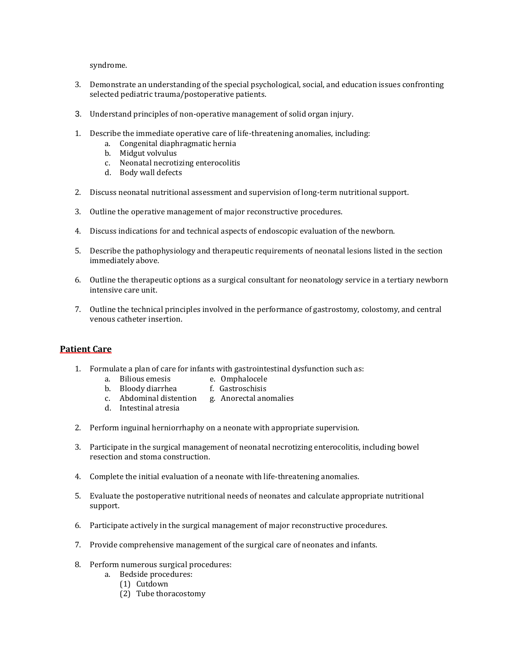syndrome.

- 3. Demonstrate an understanding of the special psychological, social, and education issues confronting selected pediatric trauma/postoperative patients.
- 3. Understand principles of non-operative management of solid organ injury.
- 1. Describe the immediate operative care of life-threatening anomalies, including:
	- a. Congenital diaphragmatic hernia
	- b. Midgut volvulus
	- c. Neonatal necrotizing enterocolitis
	- d. Body wall defects
- 2. Discuss neonatal nutritional assessment and supervision of long-term nutritional support.
- 3. Outline the operative management of major reconstructive procedures.
- 4. Discuss indications for and technical aspects of endoscopic evaluation of the newborn.
- 5. Describe the pathophysiology and therapeutic requirements of neonatal lesions listed in the section immediately above.
- 6. Outline the therapeutic options as a surgical consultant for neonatology service in a tertiary newborn intensive care unit.
- 7. Outline the technical principles involved in the performance of gastrostomy, colostomy, and central venous catheter insertion.

#### **Patient Care**

- 1. Formulate a plan of care for infants with gastrointestinal dysfunction such as:
	- a. Bilious emesis e. Omphalocele
	- b. Bloody diarrhea f. Gastroschisis
		-
	- c. Abdominal distention g. Anorectal anomalies
	- d. Intestinal atresia
- 2. Perform inguinal herniorrhaphy on a neonate with appropriate supervision.
- 3. Participate in the surgical management of neonatal necrotizing enterocolitis, including bowel resection and stoma construction.
- 4. Complete the initial evaluation of a neonate with life-threatening anomalies.
- 5. Evaluate the postoperative nutritional needs of neonates and calculate appropriate nutritional support.
- 6. Participate actively in the surgical management of major reconstructive procedures.
- 7. Provide comprehensive management of the surgical care of neonates and infants.
- 8. Perform numerous surgical procedures:
	- a. Bedside procedures:
		- (1) Cutdown
		- (2) Tube thoracostomy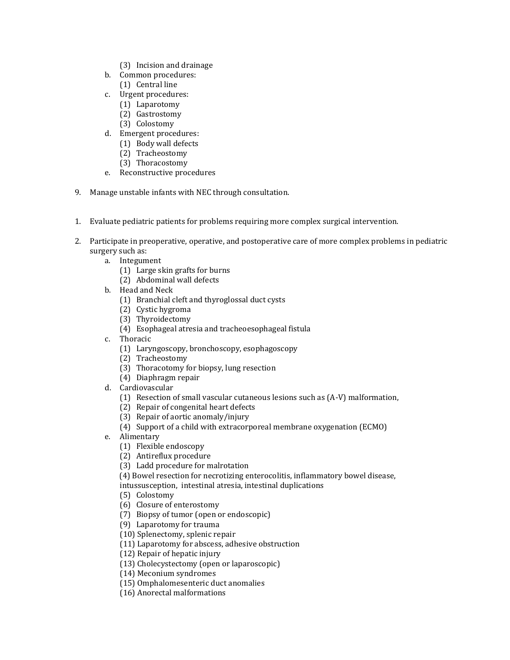- (3) Incision and drainage
- b. Common procedures:
	- (1) Central line
- c. Urgent procedures:
	- (1) Laparotomy
	- (2) Gastrostomy
	- (3) Colostomy
- d. Emergent procedures:
	- (1) Body wall defects
	- (2) Tracheostomy
	- (3) Thoracostomy
- e. Reconstructive procedures
- 9. Manage unstable infants with NEC through consultation.
- 1. Evaluate pediatric patients for problems requiring more complex surgical intervention.
- 2. Participate in preoperative, operative, and postoperative care of more complex problems in pediatric surgery such as:
	- a. Integument
		- (1) Large skin grafts for burns
		- (2) Abdominal wall defects
	- b. Head and Neck
		- (1) Branchial cleft and thyroglossal duct cysts
		- (2) Cystic hygroma
		- (3) Thyroidectomy
		- (4) Esophageal atresia and tracheoesophageal fistula
	- c. Thoracic
		- (1) Laryngoscopy, bronchoscopy, esophagoscopy
		- (2) Tracheostomy
		- (3) Thoracotomy for biopsy, lung resection
		- (4) Diaphragm repair
	- d. Cardiovascular
		- (1) Resection of small vascular cutaneous lesions such as (A-V) malformation,
		- (2) Repair of congenital heart defects
		- (3) Repair of aortic anomaly/injury
		- (4) Support of a child with extracorporeal membrane oxygenation (ECMO)
	- e. Alimentary
		- (1) Flexible endoscopy
		- (2) Antireflux procedure
		- (3) Ladd procedure for malrotation
		- (4) Bowel resection for necrotizing enterocolitis, inflammatory bowel disease, intussusception, intestinal atresia, intestinal duplications
		- (5) Colostomy
		- (6) Closure of enterostomy
		- (7) Biopsy of tumor (open or endoscopic)
		- (9) Laparotomy for trauma
		- (10) Splenectomy, splenic repair
		- (11) Laparotomy for abscess, adhesive obstruction
		- (12) Repair of hepatic injury
		- (13) Cholecystectomy (open or laparoscopic)
		- (14) Meconium syndromes
		- (15) Omphalomesenteric duct anomalies
		- (16) Anorectal malformations